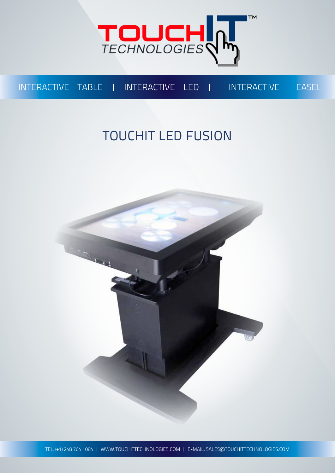

### INTERACTIVE TABLE | INTERACTIVE LED | INTERACTIVE EASEL

## TOUCHIT LED FUSION

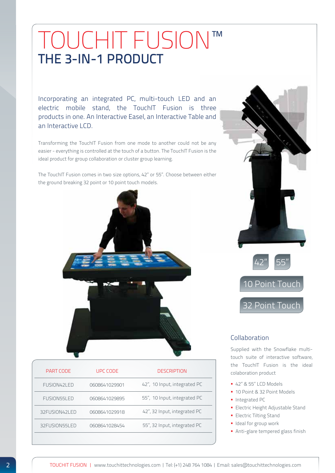## TOUCHIT FUSION™ THE 3-IN-1 PRODUCT

Incorporating an integrated PC, multi-touch LED and an electric mobile stand, the TouchIT Fusion is three products in one. An Interactive Easel, an Interactive Table and an Interactive LCD.

Transforming the TouchIT Fusion from one mode to another could not be any easier - everything is controlled at the touch of a button. The TouchIT Fusion is the ideal product for group collaboration or cluster group learning.

The TouchIT Fusion comes in two size options, 42" or 55". Choose between either the ground breaking 32 point or 10 point touch models.



| PART CODE     | UPC CODE      | <b>DESCRIPTION</b>           |
|---------------|---------------|------------------------------|
| FUSION42LED   | 0608641029901 | 42", 10 Input, integrated PC |
| FUSION55LED   | 0608641029895 | 55", 10 Input, integrated PC |
| 32FUSION42LED | 0608641029918 | 42", 32 Input, integrated PC |
| 32FUSION55LED | 0608641028454 | 55", 32 Input, integrated PC |
|               |               |                              |





#### Collaboration

Supplied with the Snowflake multitouch suite of interactive software, the TouchIT Fusion is the ideal colaboration product

- 42" & 55" LCD Models
- 10 Point & 32 Point Models
- **Integrated PC**
- **Electric Height Adjustable Stand**
- **Electric Tilting Stand**
- **I** Ideal for group work
- Anti-glare tempered glass finish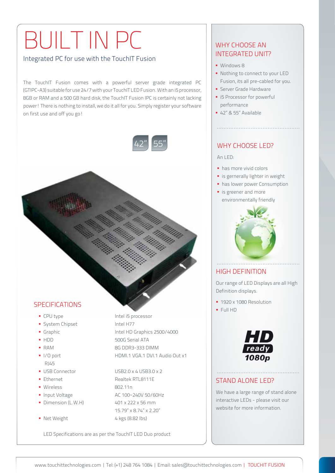# BUILT IN PC

#### Integrated PC for use with the TouchIT Fusion

The TouchIT Fusion comes with a powerful server grade integrated PC (GTIPC-A3) suitable for use 24/7 with your TouchIT LED Fusion. With an i5 processor, 8GB or RAM and a 500 GB hard disk, the TouchIT Fusion IPC is certainly not lacking power! There is nothing to install, we do it all for you. Simply register your software on first use and off you go!



#### **SPECIFICATIONS**

- 
- System Chipset Intel H77
- 
- 
- 
- 
- ,RJ45
- 
- 
- Wireless 802.11n
- 
- 
- 

■ CPU type Intel i5 processor Graphic Intel HD Graphics 2500/4000 HDD 500G Serial ATA ■ RAM 8G DDR3-333 DIMM I/O port HDMI.1 VGA.1 DVI.1 Audio Out x1

 USB Connector USB2.0 x 4,USB3.0 x 2 ■ Ethernet Realtek RTL8111F ■ Input Voltage AC 100~240V 50/60Hz  $\bullet$  Dimension (L.W.H)  $401 \times 222 \times 56 \text{ mm}$  15.79" x 8.74" x 2.20" Net Weight 4 kgs (8.82 lbs)

LED Specifications are as per the TouchIT LED Duo product

#### WHY CHOOSE AN INTEGRATED UNIT?

- **Windows 8**
- Nothing to connect to your LED Fusion, its all pre-cabled for you.
- **Server Grade Hardware**
- **i** i5 Processor for powerful performance
- 42" & 55" Available

#### WHY CHOOSE LED?

#### An LED:

- has more vivid colors
- **is gernerally lighter in weight**
- **has lower power Consumption**
- **is greener and more** environmentally friendly



#### HIGH DEFINITION

Our range of LED Displays are all High Definition displays.

- **1920 x 1080 Resolution**
- $FullHD$



#### STAND ALONE LED?

We have a large range of stand alone interactive LEDs - please visit our website for more information.